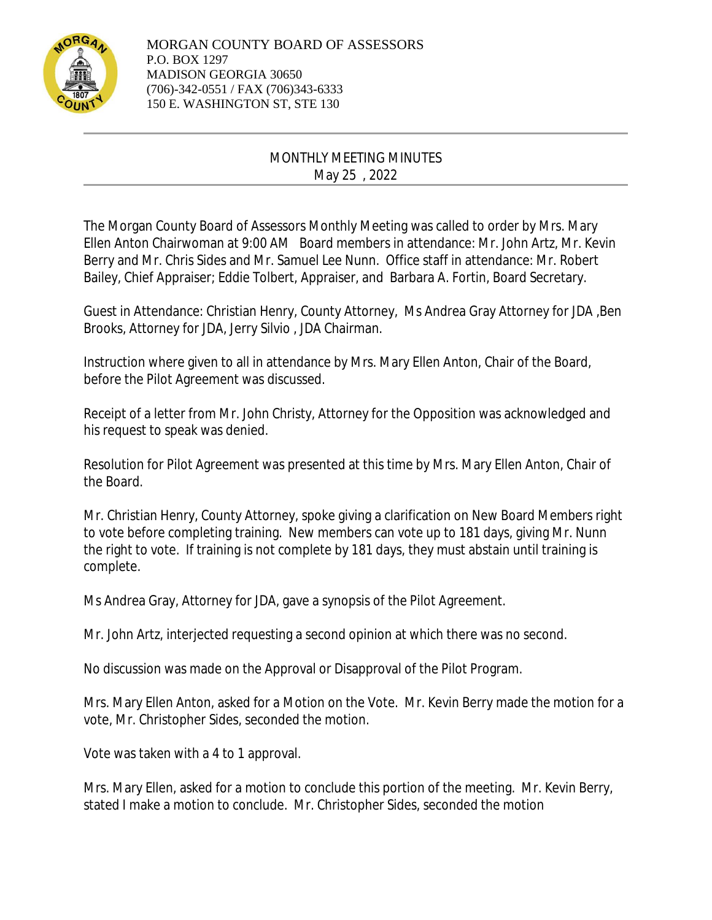

## MONTHLY MEETING MINUTES May 25 , 2022

The Morgan County Board of Assessors Monthly Meeting was called to order by Mrs. Mary Ellen Anton Chairwoman at 9:00 AM Board members in attendance: Mr. John Artz, Mr. Kevin Berry and Mr. Chris Sides and Mr. Samuel Lee Nunn. Office staff in attendance: Mr. Robert Bailey, Chief Appraiser; Eddie Tolbert, Appraiser, and Barbara A. Fortin, Board Secretary.

Guest in Attendance: Christian Henry, County Attorney, Ms Andrea Gray Attorney for JDA ,Ben Brooks, Attorney for JDA, Jerry Silvio , JDA Chairman.

Instruction where given to all in attendance by Mrs. Mary Ellen Anton, Chair of the Board, before the Pilot Agreement was discussed.

Receipt of a letter from Mr. John Christy, Attorney for the Opposition was acknowledged and his request to speak was denied.

Resolution for Pilot Agreement was presented at this time by Mrs. Mary Ellen Anton, Chair of the Board.

Mr. Christian Henry, County Attorney, spoke giving a clarification on New Board Members right to vote before completing training. New members can vote up to 181 days, giving Mr. Nunn the right to vote. If training is not complete by 181 days, they must abstain until training is complete.

Ms Andrea Gray, Attorney for JDA, gave a synopsis of the Pilot Agreement.

Mr. John Artz, interjected requesting a second opinion at which there was no second.

No discussion was made on the Approval or Disapproval of the Pilot Program.

Mrs. Mary Ellen Anton, asked for a Motion on the Vote. Mr. Kevin Berry made the motion for a vote, Mr. Christopher Sides, seconded the motion.

Vote was taken with a 4 to 1 approval.

Mrs. Mary Ellen, asked for a motion to conclude this portion of the meeting. Mr. Kevin Berry, stated I make a motion to conclude. Mr. Christopher Sides, seconded the motion